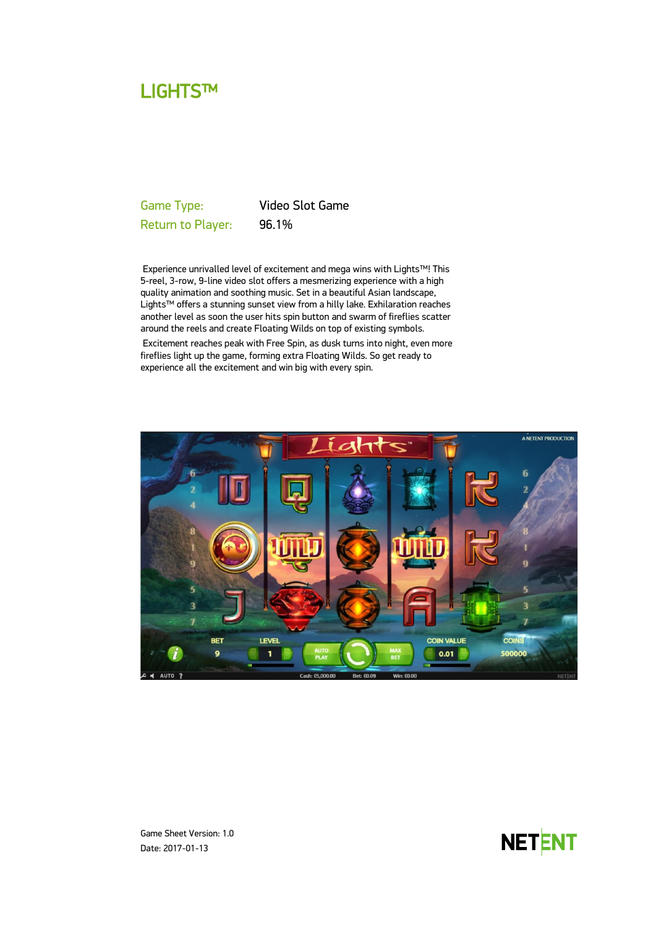# LIGHTS™

Game Type: Video Slot Game Return to Player: 96.1%

Experience unrivalled level of excitement and mega wins with Lights™! This 5-reel, 3-row, 9-line video slot offers a mesmerizing experience with a high quality animation and soothing music. Set in a beautiful Asian landscape, Lights™ offers a stunning sunset view from a hilly lake. Exhilaration reaches another level as soon the user hits spin button and swarm of fireflies scatter around the reels and create Floating Wilds on top of existing symbols. Excitement reaches peak with Free Spin, as dusk turns into night, even more fireflies light up the game, forming extra Floating Wilds. So get ready to experience all the excitement and win big with every spin.



Game Sheet Version: 1.0 Date: 2017-01-13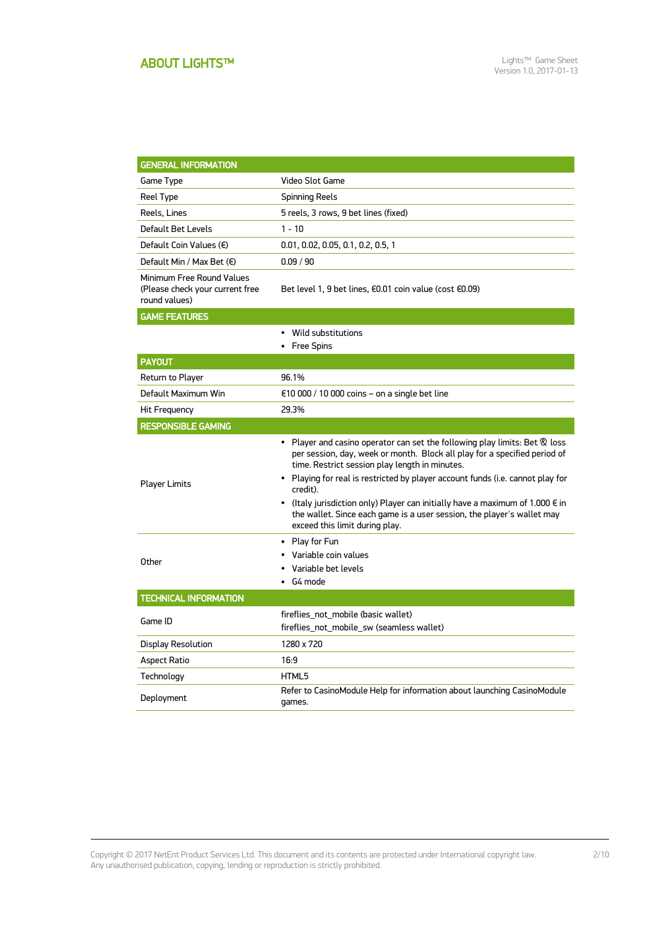| <b>GENERAL INFORMATION</b>                                                    |                                                                                                                                                                                                                                                                                                                                                                                                                                                                                                                          |  |
|-------------------------------------------------------------------------------|--------------------------------------------------------------------------------------------------------------------------------------------------------------------------------------------------------------------------------------------------------------------------------------------------------------------------------------------------------------------------------------------------------------------------------------------------------------------------------------------------------------------------|--|
| Game Type                                                                     | Video Slot Game                                                                                                                                                                                                                                                                                                                                                                                                                                                                                                          |  |
| Reel Type                                                                     | Spinning Reels                                                                                                                                                                                                                                                                                                                                                                                                                                                                                                           |  |
| Reels, Lines                                                                  | 5 reels, 3 rows, 9 bet lines (fixed)                                                                                                                                                                                                                                                                                                                                                                                                                                                                                     |  |
| Default Bet Levels                                                            | $1 - 10$                                                                                                                                                                                                                                                                                                                                                                                                                                                                                                                 |  |
| Default Coin Values $(\epsilon)$                                              | 0.01, 0.02, 0.05, 0.1, 0.2, 0.5, 1                                                                                                                                                                                                                                                                                                                                                                                                                                                                                       |  |
| Default Min / Max Bet $(\epsilon)$                                            | 0.09 / 90                                                                                                                                                                                                                                                                                                                                                                                                                                                                                                                |  |
| Minimum Free Round Values<br>(Please check your current free<br>round values) | Bet level 1, 9 bet lines, $\epsilon$ 0.01 coin value (cost $\epsilon$ 0.09)                                                                                                                                                                                                                                                                                                                                                                                                                                              |  |
| <b>GAME FEATURES</b>                                                          |                                                                                                                                                                                                                                                                                                                                                                                                                                                                                                                          |  |
|                                                                               | • Wild substitutions<br>• Free Spins                                                                                                                                                                                                                                                                                                                                                                                                                                                                                     |  |
| <b>PAYOUT</b>                                                                 |                                                                                                                                                                                                                                                                                                                                                                                                                                                                                                                          |  |
| Return to Player                                                              | 96.1%                                                                                                                                                                                                                                                                                                                                                                                                                                                                                                                    |  |
| Default Maximum Win                                                           | $\epsilon$ 10 000 / 10 000 coins – on a single bet line                                                                                                                                                                                                                                                                                                                                                                                                                                                                  |  |
| Hit Frequency                                                                 | 29.3%                                                                                                                                                                                                                                                                                                                                                                                                                                                                                                                    |  |
| <b>RESPONSIBLE GAMING</b>                                                     |                                                                                                                                                                                                                                                                                                                                                                                                                                                                                                                          |  |
| <b>Player Limits</b>                                                          | Player and casino operator can set the following play limits: Bet & loss<br>$\bullet$<br>per session, day, week or month. Block all play for a specified period of<br>time. Restrict session play length in minutes.<br>• Playing for real is restricted by player account funds (i.e. cannot play for<br>credit).<br>• (Italy jurisdiction only) Player can initially have a maximum of 1.000 $\epsilon$ in<br>the wallet. Since each game is a user session, the player's wallet may<br>exceed this limit during play. |  |
| Other                                                                         | • Play for Fun<br>• Variable coin values<br>Variable bet levels<br>$\cdot$ G4 mode                                                                                                                                                                                                                                                                                                                                                                                                                                       |  |
| <b>TECHNICAL INFORMATION</b>                                                  |                                                                                                                                                                                                                                                                                                                                                                                                                                                                                                                          |  |
| Game ID                                                                       | fireflies_not_mobile (basic wallet)<br>fireflies_not_mobile_sw (seamless wallet)                                                                                                                                                                                                                                                                                                                                                                                                                                         |  |
| Display Resolution                                                            | 1280 x 720                                                                                                                                                                                                                                                                                                                                                                                                                                                                                                               |  |
| Aspect Ratio                                                                  | 16:9                                                                                                                                                                                                                                                                                                                                                                                                                                                                                                                     |  |
| Technology                                                                    | HTML5                                                                                                                                                                                                                                                                                                                                                                                                                                                                                                                    |  |
| Deployment                                                                    | Refer to CasinoModule Help for information about launching CasinoModule<br>games.                                                                                                                                                                                                                                                                                                                                                                                                                                        |  |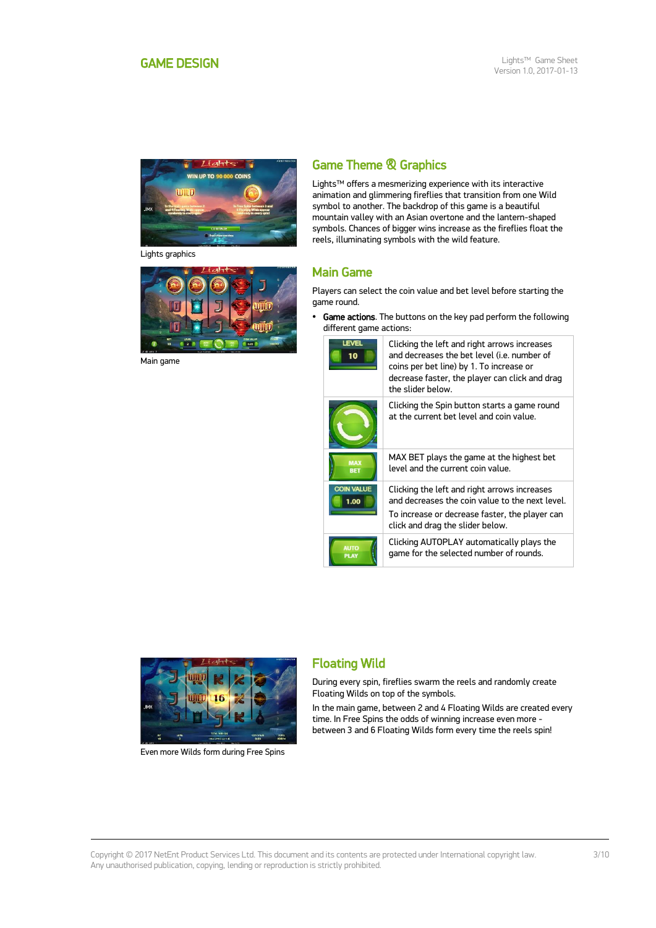<span id="page-2-0"></span>

Lights graphics



Main game

## Game Theme & Graphics

Lights™ offers a mesmerizing experience with its interactive animation and glimmering fireflies that transition from one Wild symbol to another. The backdrop of this game is a beautiful mountain valley with an Asian overtone and the lantern-shaped symbols. Chances of bigger wins increase as the fireflies float the reels, illuminating symbols with the wild feature.

## Main Game

Players can select the coin value and bet level before starting the game round.

• Game actions. The buttons on the key pad perform the following different game actions:

| I FVFI<br>10               | Clicking the left and right arrows increases<br>and decreases the bet level (i.e. number of<br>coins per bet line) by 1. To increase or<br>decrease faster, the player can click and drag<br>the slider helow. |
|----------------------------|----------------------------------------------------------------------------------------------------------------------------------------------------------------------------------------------------------------|
|                            | Clicking the Spin button starts a game round<br>at the current het level and coin value.                                                                                                                       |
| <b>MAX</b><br><b>BET</b>   | MAX BET plays the game at the highest bet<br>level and the current coin value.                                                                                                                                 |
| <b>COIN VALUE</b><br>1.00  | Clicking the left and right arrows increases<br>and decreases the coin value to the next level.<br>To increase or decrease faster, the player can<br>click and drag the slider below.                          |
| <b>AUTO</b><br><b>PLAY</b> | Clicking AUTOPLAY automatically plays the<br>game for the selected number of rounds.                                                                                                                           |



Even more Wilds form during Free Spins

## Floating Wild

During every spin, fireflies swarm the reels and randomly create Floating Wilds on top of the symbols.

In the main game, between 2 and 4 Floating Wilds are created every time. In Free Spins the odds of winning increase even more between 3 and 6 Floating Wilds form every time the reels spin!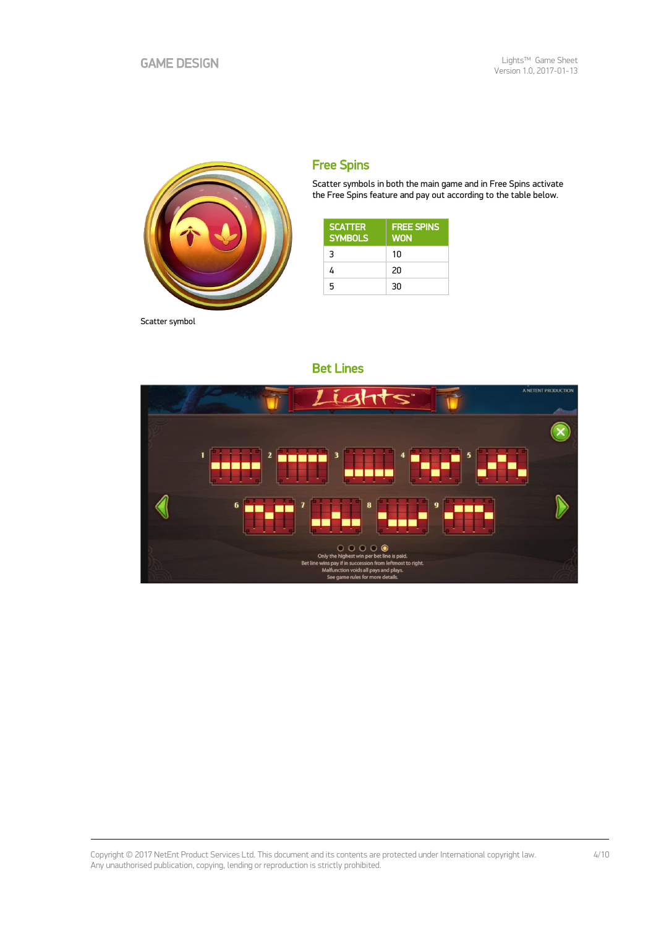

Scatter symbol

## Free Spins

Scatter symbols in both the main game and in Free Spins activate the Free Spins feature and pay out according to the table below.

| <b>SCATTER</b><br><b>SYMBOLS</b> | <b>FREE SPINS</b><br><b>WON</b> |
|----------------------------------|---------------------------------|
| 3                                | 10                              |
| 4                                | 20                              |
| 5                                | 30                              |



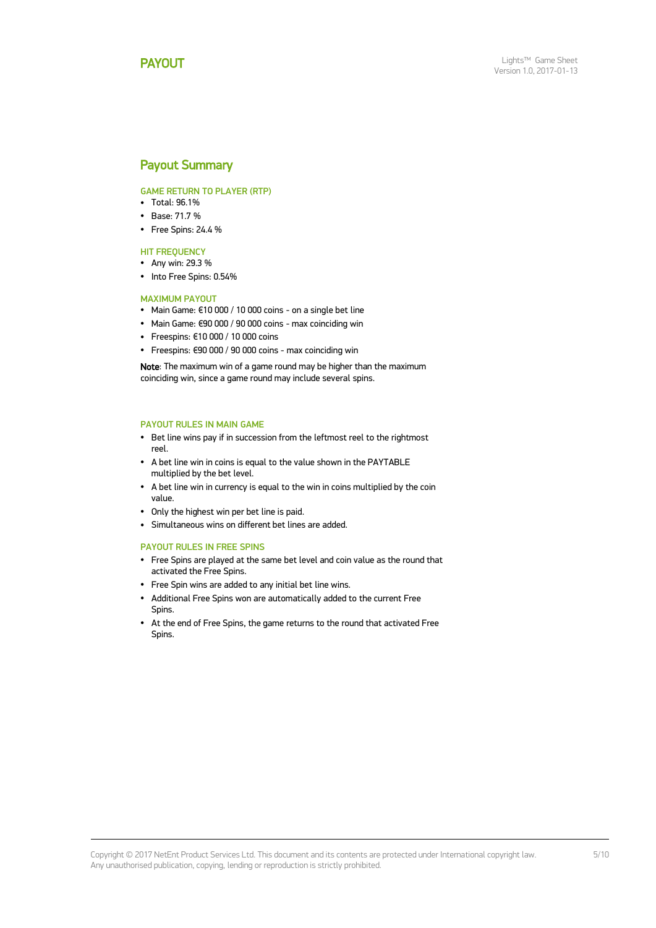## <span id="page-4-0"></span>Payout Summary

GAME RETURN TO PLAYER (RTP)

- $\cdot$  Total: 96.1%
- Base: 71.7 %
- Free Spins: 24.4 %

**HIT FREQUENCY** 

- $\bullet$  Any win: 29.3 %
- Into Free Spins: 0.54%

### MAXIMUM PAYOUT

- Main Game: €10 000 / 10 000 coins on a single bet line
- Main Game: €90 000 / 90 000 coins max coinciding win
- Freespins: €10 000 / 10 000 coins
- Freespins: €90 000 / 90 000 coins max coinciding win

Note: The maximum win of a game round may be higher than the maximum coinciding win, since a game round may include several spins.

#### PAYOUT RULES IN MAIN GAME

- Bet line wins pay if in succession from the leftmost reel to the rightmost reel.
- A bet line win in coins is equal to the value shown in the PAYTABLE multiplied by the bet level.
- A bet line win in currency is equal to the win in coins multiplied by the coin value.
- Only the highest win per bet line is paid.
- Simultaneous wins on different bet lines are added.

#### PAYOUT RULES IN FREE SPINS

- Free Spins are played at the same bet level and coin value as the round that activated the Free Spins.
- Free Spin wins are added to any initial bet line wins.
- Additional Free Spins won are automatically added to the current Free Spins.
- At the end of Free Spins, the game returns to the round that activated Free Spins.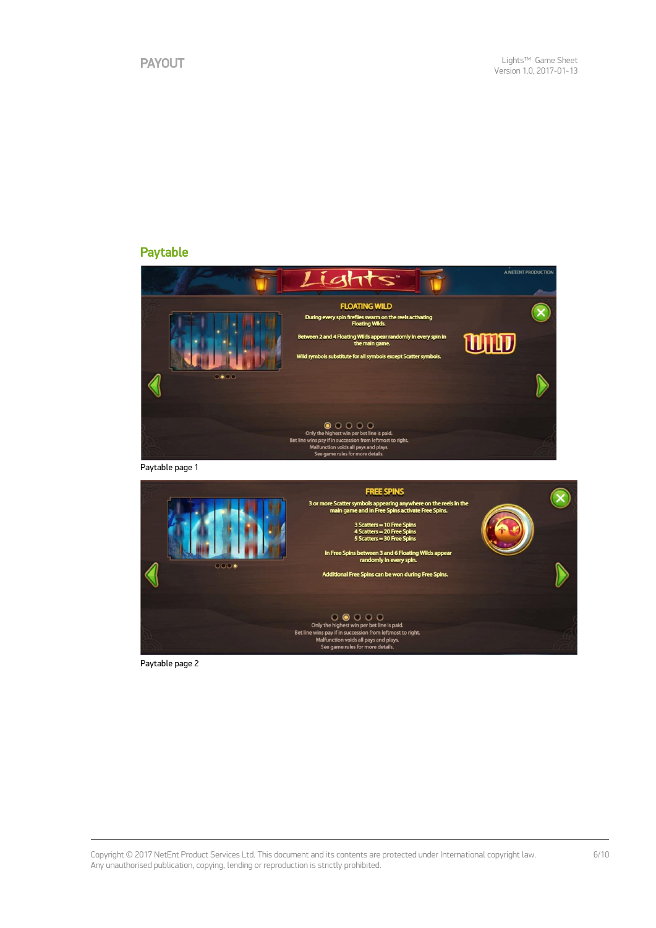## Paytable







Paytable page 2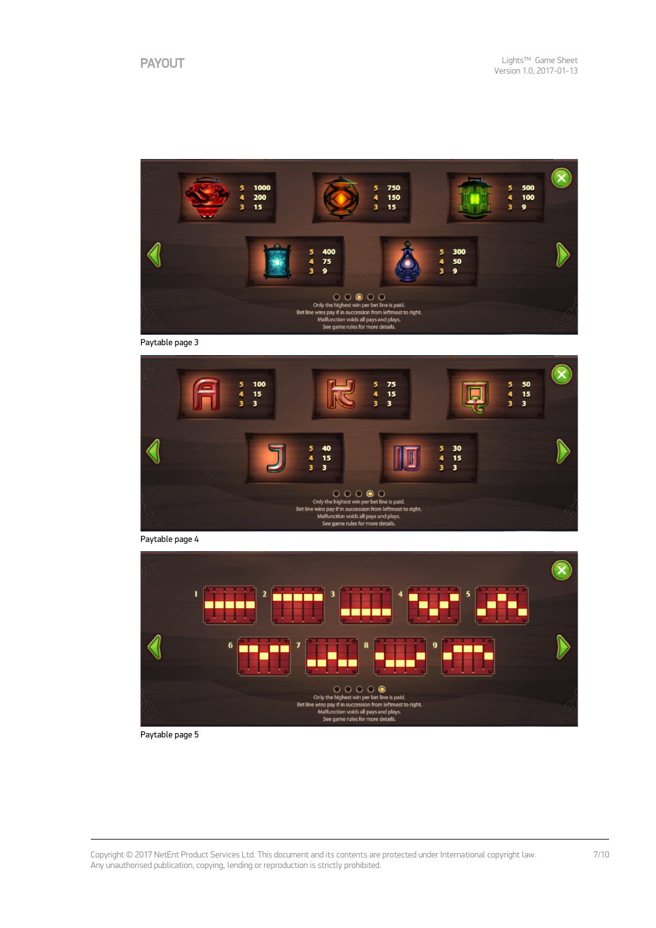

Paytable page 3







Paytable page 5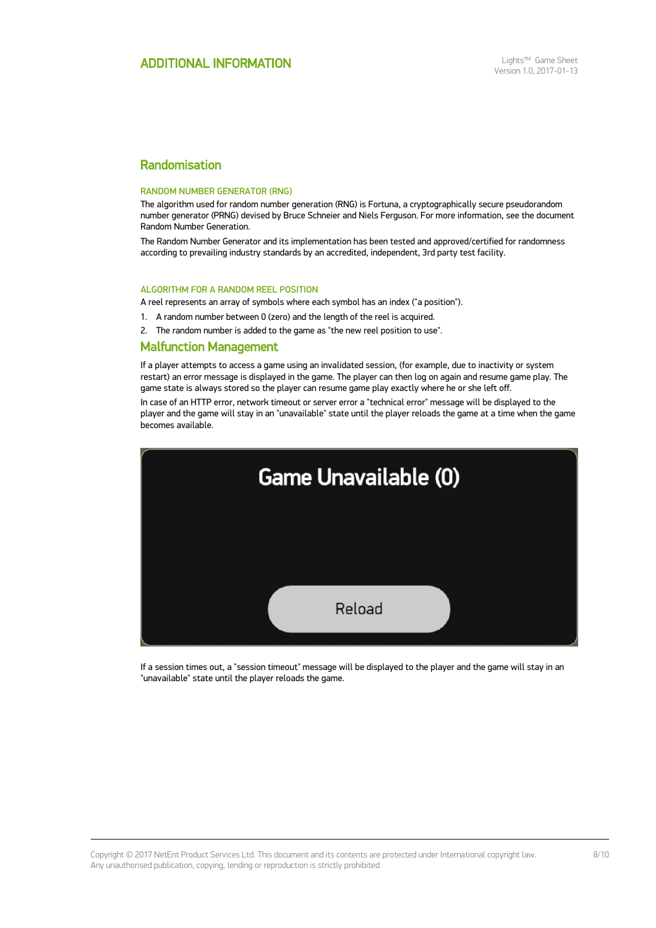## Randomisation

#### RANDOM NUMBER GENERATOR (RNG)

The algorithm used for random number generation (RNG) is Fortuna, a cryptographically secure pseudorandom number generator (PRNG) devised by Bruce Schneier and Niels Ferguson. For more information, see the document Random Number Generation.

The Random Number Generator and its implementation has been tested and approved/certified for randomness according to prevailing industry standards by an accredited, independent, 3rd party test facility.

#### ALGORITHM FOR A RANDOM REEL POSITION

A reel represents an array of symbols where each symbol has an index ("a position").

- 1. A random number between 0 (zero) and the length of the reel is acquired.
- 2. The random number is added to the game as "the new reel position to use".

### Malfunction Management

If a player attempts to access a game using an invalidated session, (for example, due to inactivity or system restart) an error message is displayed in the game. The player can then log on again and resume game play. The game state is always stored so the player can resume game play exactly where he or she left off.

In case of an HTTP error, network timeout or server error a "technical error" message will be displayed to the player and the game will stay in an "unavailable" state until the player reloads the game at a time when the game becomes available.



If a session times out, a "session timeout" message will be displayed to the player and the game will stay in an "unavailable" state until the player reloads the game.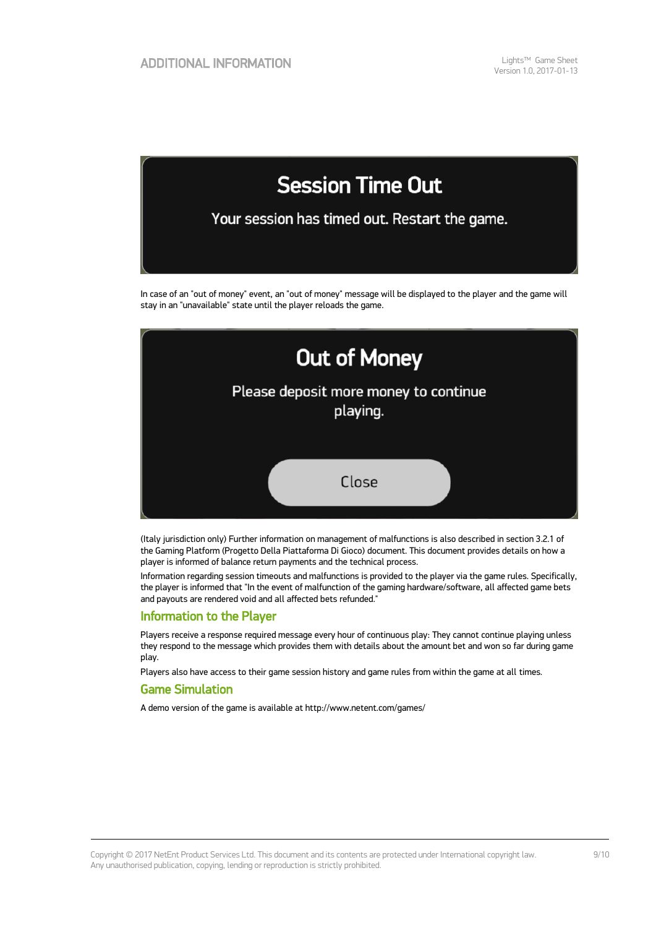

In case of an "out of money" event, an "out of money" message will be displayed to the player and the game will stay in an "unavailable" state until the player reloads the game.



(Italy jurisdiction only) Further information on management of malfunctions is also described in section 3.2.1 of the Gaming Platform (Progetto Della Piattaforma Di Gioco) document. This document provides details on how a player is informed of balance return payments and the technical process.

Information regarding session timeouts and malfunctions is provided to the player via the game rules. Specifically, the player is informed that "In the event of malfunction of the gaming hardware/software, all affected game bets and payouts are rendered void and all affected bets refunded."

### Information to the Player

Players receive a response required message every hour of continuous play: They cannot continue playing unless they respond to the message which provides them with details about the amount bet and won so far during game play.

Players also have access to their game session history and game rules from within the game at all times.

## Game Simulation

A demo version of the game is available at http://www.netent.com/games/